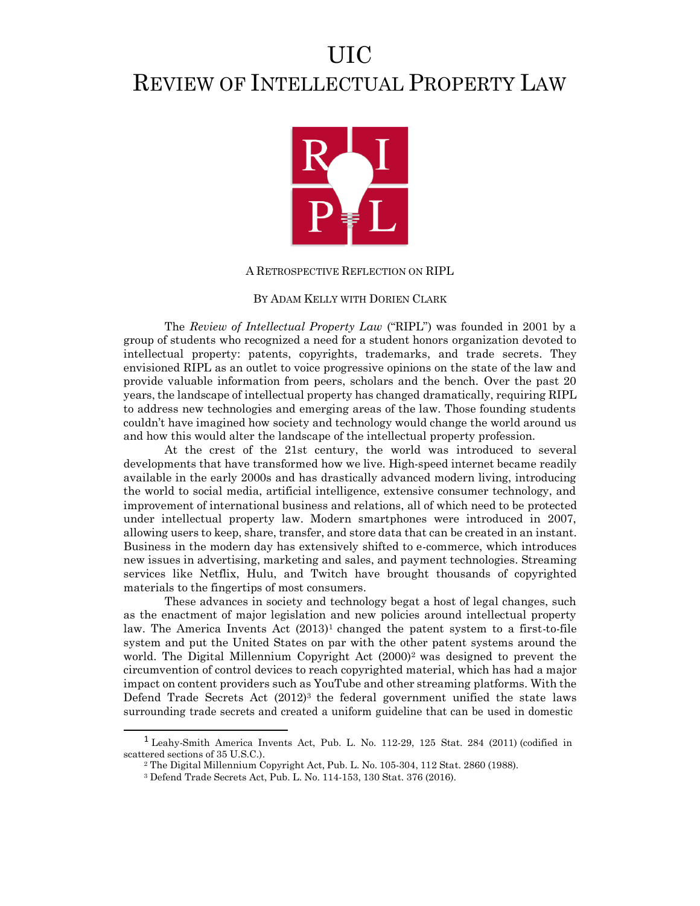## UIC REVIEW OF INTELLECTUAL PROPERTY LAW



## A RETROSPECTIVE REFLECTION ON RIPL

## BY ADAM KELLY WITH DORIEN CLARK

The *Review of Intellectual Property Law* ("RIPL") was founded in 2001 by a group of students who recognized a need for a student honors organization devoted to intellectual property: patents, copyrights, trademarks, and trade secrets. They envisioned RIPL as an outlet to voice progressive opinions on the state of the law and provide valuable information from peers, scholars and the bench. Over the past 20 years, the landscape of intellectual property has changed dramatically, requiring RIPL to address new technologies and emerging areas of the law. Those founding students couldn't have imagined how society and technology would change the world around us and how this would alter the landscape of the intellectual property profession.

At the crest of the 21st century, the world was introduced to several developments that have transformed how we live. High-speed internet became readily available in the early 2000s and has drastically advanced modern living, introducing the world to social media, artificial intelligence, extensive consumer technology, and improvement of international business and relations, all of which need to be protected under intellectual property law. Modern smartphones were introduced in 2007, allowing users to keep, share, transfer, and store data that can be created in an instant. Business in the modern day has extensively shifted to e-commerce, which introduces new issues in advertising, marketing and sales, and payment technologies. Streaming services like Netflix, Hulu, and Twitch have brought thousands of copyrighted materials to the fingertips of most consumers.

These advances in society and technology begat a host of legal changes, such as the enactment of major legislation and new policies around intellectual property law. The America Invents Act  $(2013)^1$  changed the patent system to a first-to-file system and put the United States on par with the other patent systems around the world. The Digital Millennium Copyright Act (2000)<sup>2</sup> was designed to prevent the circumvention of control devices to reach copyrighted material, which has had a major impact on content providers such as YouTube and other streaming platforms. With the Defend Trade Secrets Act (2012)<sup>3</sup> the federal government unified the state laws surrounding trade secrets and created a uniform guideline that can be used in domestic

<sup>1</sup> Leahy-Smith America Invents Act, Pub. L. No. 112-29, 125 Stat. 284 (2011) (codified in scattered sections of 35 U.S.C.).

<sup>2</sup> The Digital Millennium Copyright Act, Pub. L. No. 105-304, 112 Stat. 2860 (1988).

<sup>3</sup> Defend Trade Secrets Act, Pub. L. No. 114-153, 130 Stat. 376 (2016).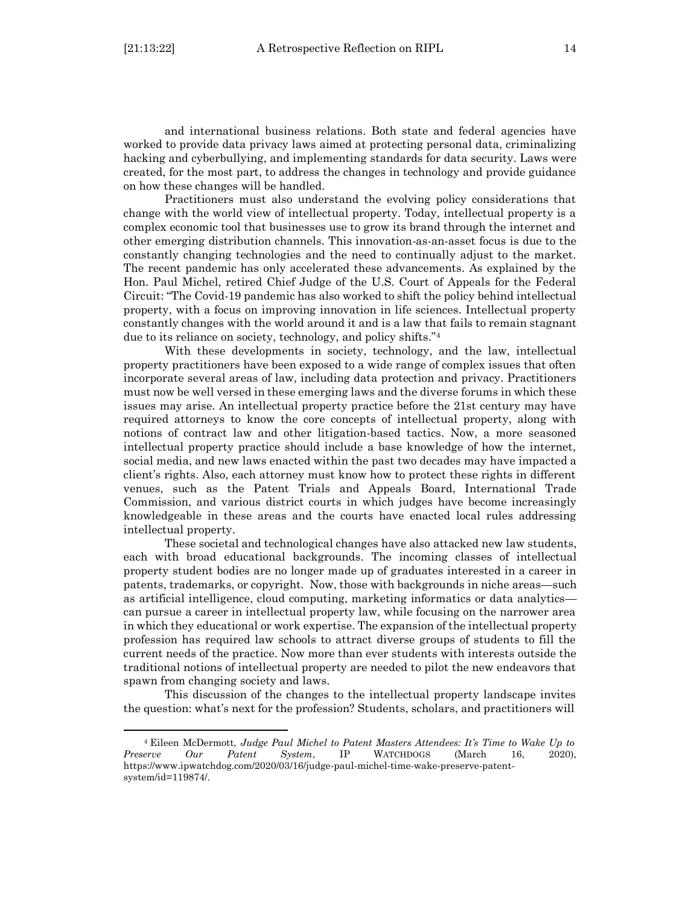and international business relations. Both state and federal agencies have worked to provide data privacy laws aimed at protecting personal data, criminalizing hacking and cyberbullying, and implementing standards for data security. Laws were created, for the most part, to address the changes in technology and provide guidance on how these changes will be handled.

Practitioners must also understand the evolving policy considerations that change with the world view of intellectual property. Today, intellectual property is a complex economic tool that businesses use to grow its brand through the internet and other emerging distribution channels. This innovation-as-an-asset focus is due to the constantly changing technologies and the need to continually adjust to the market. The recent pandemic has only accelerated these advancements. As explained by the Hon. Paul Michel, retired Chief Judge of the U.S. Court of Appeals for the Federal Circuit: "The Covid-19 pandemic has also worked to shift the policy behind intellectual property, with a focus on improving innovation in life sciences. Intellectual property constantly changes with the world around it and is a law that fails to remain stagnant due to its reliance on society, technology, and policy shifts."<sup>4</sup>

With these developments in society, technology, and the law, intellectual property practitioners have been exposed to a wide range of complex issues that often incorporate several areas of law, including data protection and privacy. Practitioners must now be well versed in these emerging laws and the diverse forums in which these issues may arise. An intellectual property practice before the 21st century may have required attorneys to know the core concepts of intellectual property, along with notions of contract law and other litigation-based tactics. Now, a more seasoned intellectual property practice should include a base knowledge of how the internet, social media, and new laws enacted within the past two decades may have impacted a client's rights. Also, each attorney must know how to protect these rights in different venues, such as the Patent Trials and Appeals Board, International Trade Commission, and various district courts in which judges have become increasingly knowledgeable in these areas and the courts have enacted local rules addressing intellectual property.

These societal and technological changes have also attacked new law students, each with broad educational backgrounds. The incoming classes of intellectual property student bodies are no longer made up of graduates interested in a career in patents, trademarks, or copyright. Now, those with backgrounds in niche areas—such as artificial intelligence, cloud computing, marketing informatics or data analytics can pursue a career in intellectual property law, while focusing on the narrower area in which they educational or work expertise. The expansion of the intellectual property profession has required law schools to attract diverse groups of students to fill the current needs of the practice. Now more than ever students with interests outside the traditional notions of intellectual property are needed to pilot the new endeavors that spawn from changing society and laws.

This discussion of the changes to the intellectual property landscape invites the question: what's next for the profession? Students, scholars, and practitioners will

<sup>4</sup> Eileen McDermott, *Judge Paul Michel to Patent Masters Attendees: It's Time to Wake Up to Preserve Our Patent System*, IP WATCHDOGS (March 16, 2020), https:[//www.ipwatchdog.com/2020/03/16/judge-paul-michel-time-wake-preserve-patent](http://www.ipwatchdog.com/2020/03/16/judge-paul-michel-time-wake-preserve-patent-)system/id=119874/.